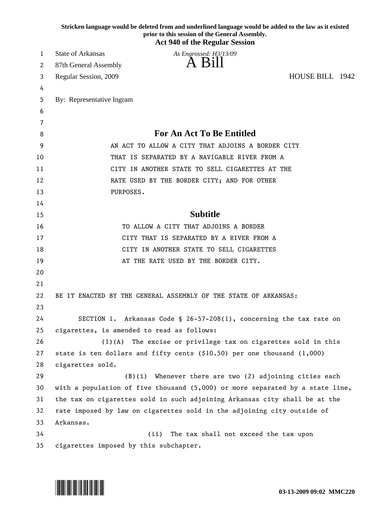|    | Stricken language would be deleted from and underlined language would be added to the law as it existed<br>prior to this session of the General Assembly.<br><b>Act 940 of the Regular Session</b> |
|----|----------------------------------------------------------------------------------------------------------------------------------------------------------------------------------------------------|
| 1  | <b>State of Arkansas</b><br>As Engrossed: H3/13/09                                                                                                                                                 |
| 2  | A Bill<br>87th General Assembly                                                                                                                                                                    |
| 3  | HOUSE BILL 1942<br>Regular Session, 2009                                                                                                                                                           |
| 4  |                                                                                                                                                                                                    |
| 5  | By: Representative Ingram                                                                                                                                                                          |
| 6  |                                                                                                                                                                                                    |
| 7  |                                                                                                                                                                                                    |
| 8  | <b>For An Act To Be Entitled</b>                                                                                                                                                                   |
| 9  | AN ACT TO ALLOW A CITY THAT ADJOINS A BORDER CITY                                                                                                                                                  |
| 10 | THAT IS SEPARATED BY A NAVIGABLE RIVER FROM A                                                                                                                                                      |
| 11 | CITY IN ANOTHER STATE TO SELL CIGARETTES AT THE                                                                                                                                                    |
| 12 | RATE USED BY THE BORDER CITY; AND FOR OTHER                                                                                                                                                        |
| 13 | PURPOSES.                                                                                                                                                                                          |
| 14 |                                                                                                                                                                                                    |
| 15 | <b>Subtitle</b>                                                                                                                                                                                    |
| 16 | TO ALLOW A CITY THAT ADJOINS A BORDER                                                                                                                                                              |
| 17 | CITY THAT IS SEPARATED BY A RIVER FROM A                                                                                                                                                           |
| 18 | CITY IN ANOTHER STATE TO SELL CIGARETTES                                                                                                                                                           |
| 19 | AT THE RATE USED BY THE BORDER CITY.                                                                                                                                                               |
| 20 |                                                                                                                                                                                                    |
| 21 |                                                                                                                                                                                                    |
| 22 | BE IT ENACTED BY THE GENERAL ASSEMBLY OF THE STATE OF ARKANSAS:                                                                                                                                    |
| 23 |                                                                                                                                                                                                    |
| 24 | SECTION 1. Arkansas Code § 26-57-208(1), concerning the tax rate on                                                                                                                                |
| 25 | cigarettes, is amended to read as follows:                                                                                                                                                         |
| 26 | The excise or privilege tax on cigarettes sold in this<br>$(1)$ (A)                                                                                                                                |
| 27 | state is ten dollars and fifty cents (\$10.50) per one thousand $(1,000)$                                                                                                                          |
| 28 | cigarettes sold.                                                                                                                                                                                   |
| 29 | $(B)(i)$ Whenever there are two $(2)$ adjoining cities each                                                                                                                                        |
| 30 | with a population of five thousand $(5,000)$ or more separated by a state line,                                                                                                                    |
| 31 | the tax on cigarettes sold in such adjoining Arkansas city shall be at the                                                                                                                         |
| 32 | rate imposed by law on cigarettes sold in the adjoining city outside of                                                                                                                            |
| 33 | Arkansas.                                                                                                                                                                                          |
| 34 | (ii)<br>The tax shall not exceed the tax upon                                                                                                                                                      |
| 35 | cigarettes imposed by this subchapter.                                                                                                                                                             |

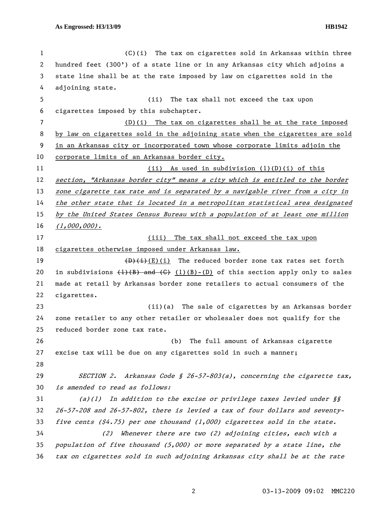| $\mathbf 1$ | (C)(i)<br>The tax on cigarettes sold in Arkansas within three                                                                                  |
|-------------|------------------------------------------------------------------------------------------------------------------------------------------------|
| 2           | hundred feet (300') of a state line or in any Arkansas city which adjoins a                                                                    |
| 3           | state line shall be at the rate imposed by law on cigarettes sold in the                                                                       |
| 4           | adjoining state.                                                                                                                               |
| 5           | (ii)<br>The tax shall not exceed the tax upon                                                                                                  |
| 6           | cigarettes imposed by this subchapter.                                                                                                         |
| 7           | $(D)(i)$ The tax on cigarettes shall be at the rate imposed                                                                                    |
| 8           | by law on cigarettes sold in the adjoining state when the cigarettes are sold                                                                  |
| 9           | in an Arkansas city or incorporated town whose corporate limits adjoin the                                                                     |
| 10          | corporate limits of an Arkansas border city.                                                                                                   |
| 11          | $(i)$ As used in subdivision $(l)(D)(i)$ of this                                                                                               |
| 12          | section, "Arkansas border city" means a city which is entitled to the border                                                                   |
| 13          | zone cigarette tax rate and is separated by a navigable river from a city in                                                                   |
| 14          | the other state that is located in a metropolitan statistical area designated                                                                  |
| 15          | by the United States Census Bureau with a population of at least one million                                                                   |
| 16          | $(1,000,000)$ .                                                                                                                                |
| 17          | The tax shall not exceed the tax upon<br>(iii)                                                                                                 |
| 18          | cigarettes otherwise imposed under Arkansas law.                                                                                               |
| 19          | $(D)$ (i)(i) The reduced border zone tax rates set forth                                                                                       |
| 20          | in subdivisions $\left\{\frac{1}{B}\right\}$ and $\left\{\frac{C}{B}\right\}$ $\left\{\frac{1}{B}\right\}$ of this section apply only to sales |
| 21          | made at retail by Arkansas border zone retailers to actual consumers of the                                                                    |
| 22          | cigarettes.                                                                                                                                    |
| 23          | (ii)(a) The sale of cigarettes by an Arkansas border                                                                                           |
| 24          | zone retailer to any other retailer or wholesaler does not qualify for the                                                                     |
| 25          | reduced border zone tax rate.                                                                                                                  |
| 26          | The full amount of Arkansas cigarette<br>(b)                                                                                                   |
| 27          | excise tax will be due on any cigarettes sold in such a manner;                                                                                |
| 28          |                                                                                                                                                |
| 29          | SECTION 2. Arkansas Code § 26-57-803(a), concerning the cigarette tax,                                                                         |
| 30          | is amended to read as follows:                                                                                                                 |
| 31          | In addition to the excise or privilege taxes levied under §§<br>(a)(1)                                                                         |
| 32          | 26-57-208 and 26-57-802, there is levied a tax of four dollars and seventy-                                                                    |
| 33          | five cents $(4.75)$ per one thousand $(1,000)$ cigarettes sold in the state.                                                                   |
| 34          | Whenever there are two $(2)$ adjoining cities, each with a<br>(2)                                                                              |
| 35          | population of five thousand (5,000) or more separated by a state line, the                                                                     |
| 36          | tax on cigarettes sold in such adjoining Arkansas city shall be at the rate                                                                    |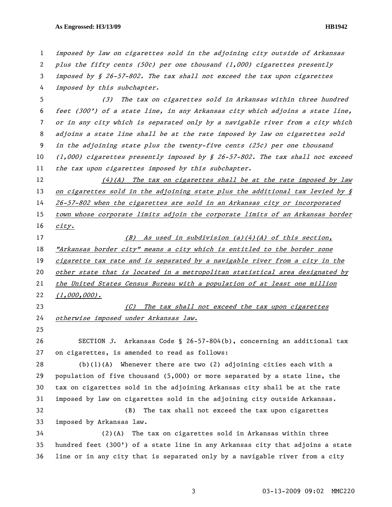## **As Engrossed: H3/13/09 HB1942**

1 imposed by law on cigarettes sold in the adjoining city outside of Arkansas 2 plus the fifty cents (50¢) per one thousand (1,000) cigarettes presently 3 imposed by § 26-57-802. The tax shall not exceed the tax upon cigarettes 4 imposed by this subchapter. 5 (3) The tax on cigarettes sold in Arkansas within three hundred 6 feet (300') of a state line, in any Arkansas city which adjoins a state line, 7 or in any city which is separated only by a navigable river from a city which 8 adjoins a state line shall be at the rate imposed by law on cigarettes sold 9 in the adjoining state plus the twenty-five cents (25¢) per one thousand 10 (1,000) cigarettes presently imposed by § 26-57-802. The tax shall not exceed 11 the tax upon cigarettes imposed by this subchapter.  $12$  (4)(A) The tax on cigarettes shall be at the rate imposed by law 13 on cigarettes sold in the adjoining state plus the additional tax levied by § 14 26-57-802 when the cigarettes are sold in an Arkansas city or incorporated 15 town whose corporate limits adjoin the corporate limits of an Arkansas border 16 city. 17 (B) As used in subdivision (a)(4)(A) of this section, 18 "Arkansas border city" means a city which is entitled to the border zone 19 cigarette tax rate and is separated by a navigable river from a city in the 20 other state that is located in a metropolitan statistical area designated by 21 the United States Census Bureau with a population of at least one million 22 (1,000,000). 23 (C) The tax shall not exceed the tax upon cigarettes 24 otherwise imposed under Arkansas law. 25 26 SECTION 3. Arkansas Code § 26-57-804(b), concerning an additional tax 27 on cigarettes, is amended to read as follows: 28 (b)(1)(A) Whenever there are two (2) adjoining cities each with a 29 population of five thousand (5,000) or more separated by a state line, the 30 tax on cigarettes sold in the adjoining Arkansas city shall be at the rate 31 imposed by law on cigarettes sold in the adjoining city outside Arkansas. 32 (B) The tax shall not exceed the tax upon cigarettes 33 imposed by Arkansas law. 34 (2)(A) The tax on cigarettes sold in Arkansas within three 35 hundred feet (300') of a state line in any Arkansas city that adjoins a state 36 line or in any city that is separated only by a navigable river from a city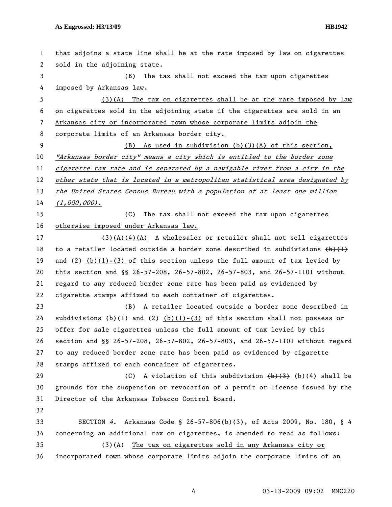| $\mathbf{1}$   | that adjoins a state line shall be at the rate imposed by law on cigarettes                        |
|----------------|----------------------------------------------------------------------------------------------------|
| 2              | sold in the adjoining state.                                                                       |
| 3              | The tax shall not exceed the tax upon cigarettes<br>(B)                                            |
| 4              | imposed by Arkansas law.                                                                           |
| 5              | $(3)(A)$ The tax on cigarettes shall be at the rate imposed by law                                 |
| 6              | on cigarettes sold in the adjoining state if the cigarettes are sold in an                         |
| $\overline{7}$ | Arkansas city or incorporated town whose corporate limits adjoin the                               |
| 8              | corporate limits of an Arkansas border city.                                                       |
| 9              | (B) As used in subdivision (b)(3)(A) of this section,                                              |
| 10             | "Arkansas border city" means a city which is entitled to the border zone                           |
| 11             | cigarette tax rate and is separated by a navigable river from a city in the                        |
| 12             | other state that is located in a metropolitan statistical area designated by                       |
| 13             | the United States Census Bureau with a population of at least one million                          |
| 14             | $(1,000,000)$ .                                                                                    |
| 15             | (C)<br>The tax shall not exceed the tax upon cigarettes                                            |
| 16             | otherwise imposed under Arkansas law.                                                              |
| 17             | $(3)$ (A)(4)(A) A wholesaler or retailer shall not sell cigarettes                                 |
| 18             | to a retailer located outside a border zone described in subdivisions $\{\flat\}$ $\{\downarrow\}$ |
| 19             | $\frac{and (2)}{b}$ (b)(1)-(3) of this section unless the full amount of tax levied by             |
| 20             | this section and $\S$ 26-57-208, 26-57-802, 26-57-803, and 26-57-1101 without                      |
| 21             | regard to any reduced border zone rate has been paid as evidenced by                               |
| 22             | cigarette stamps affixed to each container of cigarettes.                                          |
| 23             | (B) A retailer located outside a border zone described in                                          |
| 24             | subdivisions $(b)(1)$ and $(2)$ $(b)(1)-(3)$ of this section shall not possess or                  |
| 25             | offer for sale cigarettes unless the full amount of tax levied by this                             |
| 26             | section and §§ 26-57-208, 26-57-802, 26-57-803, and 26-57-1101 without regard                      |
| 27             | to any reduced border zone rate has been paid as evidenced by cigarette                            |
| 28             | stamps affixed to each container of cigarettes.                                                    |
| 29             | A violation of this subdivision $(b)(3)$ (b)(4) shall be<br>(C)                                    |
| 30             | grounds for the suspension or revocation of a permit or license issued by the                      |
| 31             | Director of the Arkansas Tobacco Control Board.                                                    |
| 32             |                                                                                                    |
| 33             | SECTION 4. Arkansas Code § 26-57-806(b)(3), of Acts 2009, No. 180, § 4                             |
| 34             | concerning an additional tax on cigarettes, is amended to read as follows:                         |
| 35             | The tax on cigarettes sold in any Arkansas city or<br>(3)(A)                                       |
| 36             | incorporated town whose corporate limits adjoin the corporate limits of an                         |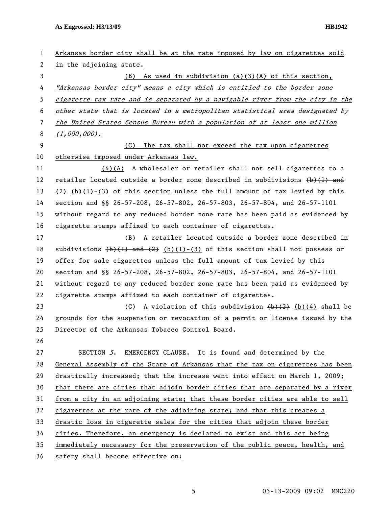**As Engrossed: H3/13/09 HB1942** 

| $\mathbf{1}$ | Arkansas border city shall be at the rate imposed by law on cigarettes sold     |
|--------------|---------------------------------------------------------------------------------|
| 2            | in the adjoining state.                                                         |
| 3            | (B) As used in subdivision (a)(3)(A) of this section,                           |
| 4            | "Arkansas border city" means a city which is entitled to the border zone        |
| 5            | cigarette tax rate and is separated by a navigable river from the city in the   |
| 6            | other state that is located in a metropolitan statistical area designated by    |
| 7            | the United States Census Bureau with a population of at least one million       |
| 8            | $(1,000,000)$ .                                                                 |
| 9            | The tax shall not exceed the tax upon cigarettes<br>(C)                         |
| 10           | otherwise imposed under Arkansas law.                                           |
| 11           | $(4)$ (A) A wholesaler or retailer shall not sell cigarettes to a               |
| 12           | retailer located outside a border zone described in subdivisions $(b)$ (1) and  |
| 13           | $(2)$ (b)(1)-(3) of this section unless the full amount of tax levied by this   |
| 14           | section and §§ 26-57-208, 26-57-802, 26-57-803, 26-57-804, and 26-57-1101       |
| 15           | without regard to any reduced border zone rate has been paid as evidenced by    |
| 16           | cigarette stamps affixed to each container of cigarettes.                       |
| 17           | (B) A retailer located outside a border zone described in                       |
| 18           | subdivisions $(b)(1)$ and $(2)$ (b)(1)-(3) of this section shall not possess or |
| 19           | offer for sale cigarettes unless the full amount of tax levied by this          |
| 20           | section and §§ 26-57-208, 26-57-802, 26-57-803, 26-57-804, and 26-57-1101       |
| 21           | without regard to any reduced border zone rate has been paid as evidenced by    |
| 22           | cigarette stamps affixed to each container of cigarettes.                       |
| 23           | (C) A violation of this subdivision $(b)$ $(3)$ $(b)$ $(4)$ shall be            |
| 24           | grounds for the suspension or revocation of a permit or license issued by the   |
| 25           | Director of the Arkansas Tobacco Control Board.                                 |
| 26           |                                                                                 |
| 27           | EMERGENCY CLAUSE. It is found and determined by the<br>SECTION 5.               |
| 28           | General Assembly of the State of Arkansas that the tax on cigarettes has been   |
| 29           | drastically increased; that the increase went into effect on March 1, 2009;     |
| 30           | that there are cities that adjoin border cities that are separated by a river   |
| 31           | from a city in an adjoining state; that these border cities are able to sell    |
| 32           | cigarettes at the rate of the adjoining state; and that this creates a          |
| 33           | drastic loss in cigarette sales for the cities that adjoin these border         |
| 34           | cities. Therefore, an emergency is declared to exist and this act being         |
| 35           | immediately necessary for the preservation of the public peace, health, and     |
| 36           | safety shall become effective on:                                               |